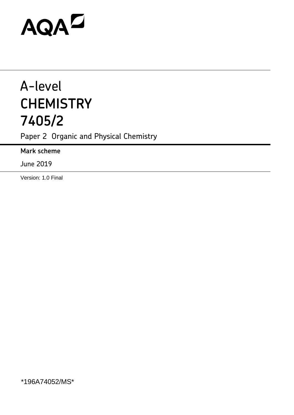# AQAZ

# A-level **CHEMISTRY 7405/2**

Paper 2 Organic and Physical Chemistry

**Mark scheme**

June 2019

Version: 1.0 Final

\*196A74052/MS\*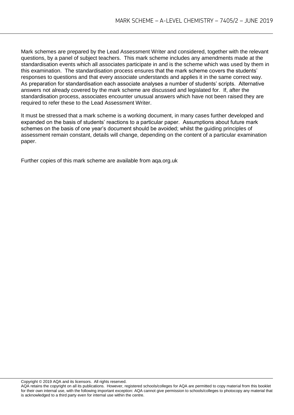Mark schemes are prepared by the Lead Assessment Writer and considered, together with the relevant questions, by a panel of subject teachers. This mark scheme includes any amendments made at the standardisation events which all associates participate in and is the scheme which was used by them in this examination. The standardisation process ensures that the mark scheme covers the students' responses to questions and that every associate understands and applies it in the same correct way. As preparation for standardisation each associate analyses a number of students' scripts. Alternative answers not already covered by the mark scheme are discussed and legislated for. If, after the standardisation process, associates encounter unusual answers which have not been raised they are required to refer these to the Lead Assessment Writer.

It must be stressed that a mark scheme is a working document, in many cases further developed and expanded on the basis of students' reactions to a particular paper. Assumptions about future mark schemes on the basis of one year's document should be avoided; whilst the guiding principles of assessment remain constant, details will change, depending on the content of a particular examination paper.

Further copies of this mark scheme are available from aqa.org.uk

Copyright © 2019 AQA and its licensors. All rights reserved.

AQA retains the copyright on all its publications. However, registered schools/colleges for AQA are permitted to copy material from this booklet for their own internal use, with the following important exception: AQA cannot give permission to schools/colleges to photocopy any material that is acknowledged to a third party even for internal use within the centre.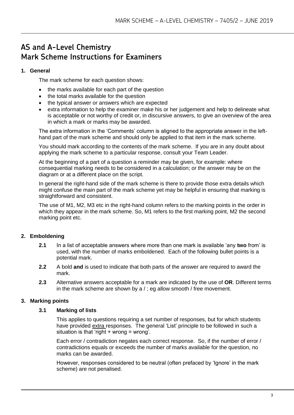# **AS and A-Level Chemistry Mark Scheme Instructions for Examiners**

#### **1. General**

The mark scheme for each question shows:

- the marks available for each part of the question
- the total marks available for the question
- the typical answer or answers which are expected
- extra information to help the examiner make his or her judgement and help to delineate what is acceptable or not worthy of credit or, in discursive answers, to give an overview of the area in which a mark or marks may be awarded.

The extra information in the 'Comments' column is aligned to the appropriate answer in the lefthand part of the mark scheme and should only be applied to that item in the mark scheme.

You should mark according to the contents of the mark scheme. If you are in any doubt about applying the mark scheme to a particular response, consult your Team Leader.

At the beginning of a part of a question a reminder may be given, for example: where consequential marking needs to be considered in a calculation; or the answer may be on the diagram or at a different place on the script.

In general the right-hand side of the mark scheme is there to provide those extra details which might confuse the main part of the mark scheme yet may be helpful in ensuring that marking is straightforward and consistent.

The use of M1, M2, M3 etc in the right-hand column refers to the marking points in the order in which they appear in the mark scheme. So, M1 refers to the first marking point, M2 the second marking point etc.

## **2. Emboldening**

- **2.1** In a list of acceptable answers where more than one mark is available 'any **two** from' is used, with the number of marks emboldened. Each of the following bullet points is a potential mark.
- **2.2** A bold **and** is used to indicate that both parts of the answer are required to award the mark.
- **2.3** Alternative answers acceptable for a mark are indicated by the use of **OR**. Different terms in the mark scheme are shown by a / ; eg allow smooth / free movement.

#### **3. Marking points**

#### **3.1 Marking of lists**

This applies to questions requiring a set number of responses, but for which students have provided extra responses. The general 'List' principle to be followed in such a situation is that 'right + wrong = wrong'.

Each error / contradiction negates each correct response. So, if the number of error / contradictions equals or exceeds the number of marks available for the question, no marks can be awarded.

However, responses considered to be neutral (often prefaced by 'Ignore' in the mark scheme) are not penalised.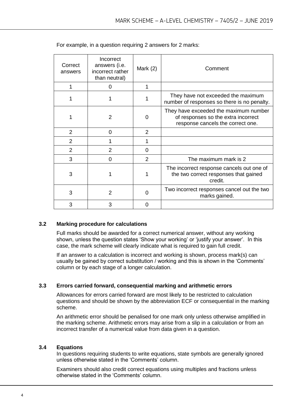| Correct<br>answers | Incorrect<br>answers (i.e.<br>incorrect rather<br>than neutral) | Mark $(2)$ | Comment                                                                                                           |
|--------------------|-----------------------------------------------------------------|------------|-------------------------------------------------------------------------------------------------------------------|
|                    | 0                                                               |            |                                                                                                                   |
|                    |                                                                 |            | They have not exceeded the maximum<br>number of responses so there is no penalty.                                 |
|                    | 2                                                               | 0          | They have exceeded the maximum number<br>of responses so the extra incorrect<br>response cancels the correct one. |
| 2                  | 0                                                               | 2          |                                                                                                                   |
| $\overline{2}$     |                                                                 |            |                                                                                                                   |
| $\overline{2}$     | 2                                                               | $\Omega$   |                                                                                                                   |
| 3                  | 0                                                               | 2          | The maximum mark is 2                                                                                             |
| 3                  |                                                                 |            | The incorrect response cancels out one of<br>the two correct responses that gained<br>credit.                     |
| 3                  | $\overline{2}$                                                  | $\Omega$   | Two incorrect responses cancel out the two<br>marks gained.                                                       |
| 3                  | 3                                                               | 0          |                                                                                                                   |

For example, in a question requiring 2 answers for 2 marks:

#### **3.2 Marking procedure for calculations**

Full marks should be awarded for a correct numerical answer, without any working shown, unless the question states 'Show your working' or 'justify your answer'. In this case, the mark scheme will clearly indicate what is required to gain full credit.

If an answer to a calculation is incorrect and working is shown, process mark(s) can usually be gained by correct substitution / working and this is shown in the 'Comments' column or by each stage of a longer calculation.

#### **3.3 Errors carried forward, consequential marking and arithmetic errors**

Allowances for errors carried forward are most likely to be restricted to calculation questions and should be shown by the abbreviation ECF or consequential in the marking scheme.

An arithmetic error should be penalised for one mark only unless otherwise amplified in the marking scheme. Arithmetic errors may arise from a slip in a calculation or from an incorrect transfer of a numerical value from data given in a question.

#### **3.4 Equations**

In questions requiring students to write equations, state symbols are generally ignored unless otherwise stated in the 'Comments' column.

Examiners should also credit correct equations using multiples and fractions unless otherwise stated in the 'Comments' column.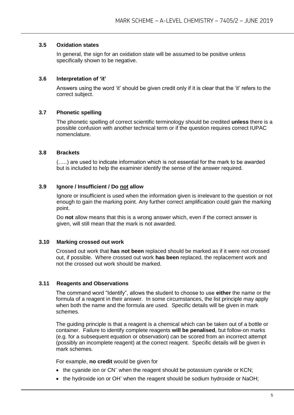#### **3.5 Oxidation states**

In general, the sign for an oxidation state will be assumed to be positive unless specifically shown to be negative.

#### **3.6 Interpretation of 'it'**

Answers using the word 'it' should be given credit only if it is clear that the 'it' refers to the correct subject.

#### **3.7 Phonetic spelling**

The phonetic spelling of correct scientific terminology should be credited **unless** there is a possible confusion with another technical term or if the question requires correct IUPAC nomenclature.

#### **3.8 Brackets**

(…..) are used to indicate information which is not essential for the mark to be awarded but is included to help the examiner identify the sense of the answer required.

#### **3.9 Ignore / Insufficient / Do not allow**

Ignore or insufficient is used when the information given is irrelevant to the question or not enough to gain the marking point. Any further correct amplification could gain the marking point.

Do **not** allow means that this is a wrong answer which, even if the correct answer is given, will still mean that the mark is not awarded.

#### **3.10 Marking crossed out work**

Crossed out work that **has not been** replaced should be marked as if it were not crossed out, if possible. Where crossed out work **has been** replaced, the replacement work and not the crossed out work should be marked.

#### **3.11 Reagents and Observations**

The command word "Identify", allows the student to choose to use **either** the name or the formula of a reagent in their answer. In some circumstances, the list principle may apply when both the name and the formula are used. Specific details will be given in mark schemes.

The guiding principle is that a reagent is a chemical which can be taken out of a bottle or container. Failure to identify complete reagents **will be penalised**, but follow-on marks (e.g. for a subsequent equation or observation) can be scored from an incorrect attempt (possibly an incomplete reagent) at the correct reagent. Specific details will be given in mark schemes.

For example, **no credit** would be given for

- the cyanide ion or CN<sup>-</sup> when the reagent should be potassium cyanide or KCN;
- the hydroxide ion or OH<sup>-</sup> when the reagent should be sodium hydroxide or NaOH;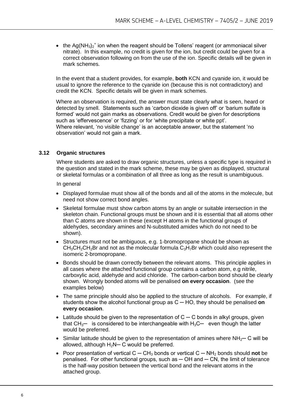• the Ag(NH<sub>3</sub>)<sub>2</sub><sup>+</sup> ion when the reagent should be Tollens' reagent (or ammoniacal silver nitrate). In this example, no credit is given for the ion, but credit could be given for a correct observation following on from the use of the ion. Specific details will be given in mark schemes.

In the event that a student provides, for example, **both** KCN and cyanide ion, it would be usual to ignore the reference to the cyanide ion (because this is not contradictory) and credit the KCN. Specific details will be given in mark schemes.

Where an observation is required, the answer must state clearly what is seen, heard or detected by smell. Statements such as 'carbon dioxide is given off' or 'barium sulfate is formed' would not gain marks as observations. Credit would be given for descriptions such as 'effervescence' or 'fizzing' or for 'white precipitate or white ppt'. Where relevant, 'no visible change' is an acceptable answer, but the statement 'no observation' would not gain a mark.

#### **3.12 Organic structures**

Where students are asked to draw organic structures, unless a specific type is required in the question and stated in the mark scheme, these may be given as displayed, structural or skeletal formulas or a combination of all three as long as the result is unambiguous.

In general

- Displayed formulae must show all of the bonds and all of the atoms in the molecule, but need not show correct bond angles.
- Skeletal formulae must show carbon atoms by an angle or suitable intersection in the skeleton chain. Functional groups must be shown and it is essential that all atoms other than C atoms are shown in these (except H atoms in the functional groups of aldehydes, secondary amines and N-substituted amides which do not need to be shown).
- Structures must not be ambiguous, e.g. 1-bromopropane should be shown as  $CH<sub>3</sub>CH<sub>2</sub>CH<sub>2</sub>Br$  and not as the molecular formula  $C<sub>3</sub>H<sub>7</sub>Br$  which could also represent the isomeric 2-bromopropane.
- Bonds should be drawn correctly between the relevant atoms. This principle applies in all cases where the attached functional group contains a carbon atom, e.g nitrile, carboxylic acid, aldehyde and acid chloride. The carbon-carbon bond should be clearly shown. Wrongly bonded atoms will be penalised **on every occasion**. (see the examples below)
- The same principle should also be applied to the structure of alcohols. For example, if students show the alcohol functional group as C ─ HO, they should be penalised **on every occasion**.
- $\bullet$  Latitude should be given to the representation of C  $\sim$  C bonds in alkyl groups, given that  $CH<sub>3</sub>$  is considered to be interchangeable with  $H<sub>3</sub>$ C even though the latter would be preferred.
- Similar latitude should be given to the representation of amines where  $NH_2$  C will be allowed, although  $H_2N-C$  would be preferred.
- Poor presentation of vertical C CH<sub>3</sub> bonds or vertical C NH<sub>2</sub> bonds should **not** be penalised. For other functional groups, such as  $-$  OH and  $-$  CN, the limit of tolerance is the half-way position between the vertical bond and the relevant atoms in the attached group.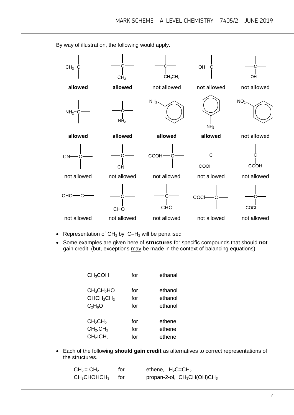By way of illustration, the following would apply.



- Representation of  $CH<sub>2</sub>$  by C-H<sub>2</sub> will be penalised
- Some examples are given here of **structures** for specific compounds that should **not** gain credit (but, exceptions may be made in the context of balancing equations)

| for | ethanal |
|-----|---------|
| for | ethanol |
| for | ethanol |
| for | ethanol |
| for | ethene  |
| for | ethene  |
| for | ethene  |
|     |         |

 Each of the following **should gain credit** as alternatives to correct representations of the structures.

| $CH2 = CH2$                      | for   | ethene, $H_2C=CH_2$           |
|----------------------------------|-------|-------------------------------|
| $\mathsf{CH}_3\mathsf{CHOHCH}_3$ | tor – | propan-2-ol, $CH_3CH(OH)CH_3$ |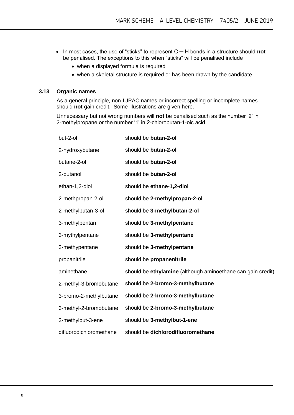- In most cases, the use of "sticks" to represent C ─ H bonds in a structure should **not** be penalised. The exceptions to this when "sticks" will be penalised include
	- when a displayed formula is required
	- when a skeletal structure is required or has been drawn by the candidate.

#### **3.13 Organic names**

As a general principle, non-IUPAC names or incorrect spelling or incomplete names should **not** gain credit. Some illustrations are given here.

Unnecessary but not wrong numbers will **not** be penalised such as the number '2' in 2-methylpropane or the number '1' in 2-chlorobutan-1-oic acid.

| but-2-ol                | should be butan-2-ol                                        |
|-------------------------|-------------------------------------------------------------|
| 2-hydroxybutane         | should be butan-2-ol                                        |
| butane-2-ol             | should be butan-2-ol                                        |
| 2-butanol               | should be butan-2-ol                                        |
| ethan-1,2-diol          | should be ethane-1,2-diol                                   |
| 2-methpropan-2-ol       | should be 2-methylpropan-2-ol                               |
| 2-methylbutan-3-ol      | should be 3-methylbutan-2-ol                                |
| 3-methylpentan          | should be 3-methylpentane                                   |
| 3-mythylpentane         | should be 3-methylpentane                                   |
| 3-methypentane          | should be 3-methylpentane                                   |
| propanitrile            | should be propanenitrile                                    |
| aminethane              | should be ethylamine (although aminoethane can gain credit) |
| 2-methyl-3-bromobutane  | should be 2-bromo-3-methylbutane                            |
| 3-bromo-2-methylbutane  | should be 2-bromo-3-methylbutane                            |
| 3-methyl-2-bromobutane  | should be 2-bromo-3-methylbutane                            |
| 2-methylbut-3-ene       | should be 3-methylbut-1-ene                                 |
| difluorodichloromethane | should be dichlorodifluoromethane                           |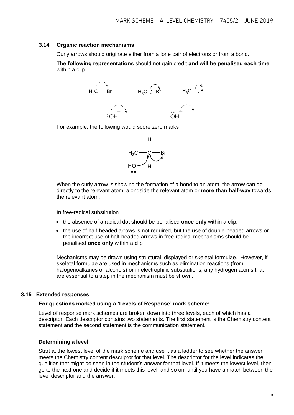#### **3.14 Organic reaction mechanisms**

Curly arrows should originate either from a lone pair of electrons or from a bond.

**The following representations** should not gain credit **and will be penalised each time**  within a clip.



For example, the following would score zero marks



When the curly arrow is showing the formation of a bond to an atom, the arrow can go directly to the relevant atom, alongside the relevant atom or **more than half-way** towards the relevant atom.

In free-radical substitution

- the absence of a radical dot should be penalised **once only** within a clip.
- the use of half-headed arrows is not required, but the use of double-headed arrows or the incorrect use of half-headed arrows in free-radical mechanisms should be penalised **once only** within a clip

Mechanisms may be drawn using structural, displayed or skeletal formulae. However, if skeletal formulae are used in mechanisms such as elimination reactions (from halogenoalkanes or alcohols) or in electrophilic substitutions, any hydrogen atoms that are essential to a step in the mechanism must be shown.

#### **3.15 Extended responses**

#### **For questions marked using a 'Levels of Response' mark scheme:**

Level of response mark schemes are broken down into three levels, each of which has a descriptor. Each descriptor contains two statements. The first statement is the Chemistry content statement and the second statement is the communication statement.

#### **Determining a level**

Start at the lowest level of the mark scheme and use it as a ladder to see whether the answer meets the Chemistry content descriptor for that level. The descriptor for the level indicates the qualities that might be seen in the student's answer for that level. If it meets the lowest level, then go to the next one and decide if it meets this level, and so on, until you have a match between the level descriptor and the answer.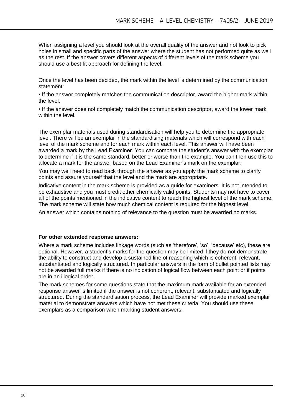When assigning a level you should look at the overall quality of the answer and not look to pick holes in small and specific parts of the answer where the student has not performed quite as well as the rest. If the answer covers different aspects of different levels of the mark scheme you should use a best fit approach for defining the level.

Once the level has been decided, the mark within the level is determined by the communication statement:

• If the answer completely matches the communication descriptor, award the higher mark within the level.

• If the answer does not completely match the communication descriptor, award the lower mark within the level.

The exemplar materials used during standardisation will help you to determine the appropriate level. There will be an exemplar in the standardising materials which will correspond with each level of the mark scheme and for each mark within each level. This answer will have been awarded a mark by the Lead Examiner. You can compare the student's answer with the exemplar to determine if it is the same standard, better or worse than the example. You can then use this to allocate a mark for the answer based on the Lead Examiner's mark on the exemplar.

You may well need to read back through the answer as you apply the mark scheme to clarify points and assure yourself that the level and the mark are appropriate.

Indicative content in the mark scheme is provided as a guide for examiners. It is not intended to be exhaustive and you must credit other chemically valid points. Students may not have to cover all of the points mentioned in the indicative content to reach the highest level of the mark scheme. The mark scheme will state how much chemical content is required for the highest level.

An answer which contains nothing of relevance to the question must be awarded no marks.

#### **For other extended response answers:**

Where a mark scheme includes linkage words (such as 'therefore', 'so', 'because' etc), these are optional. However, a student's marks for the question may be limited if they do not demonstrate the ability to construct and develop a sustained line of reasoning which is coherent, relevant, substantiated and logically structured. In particular answers in the form of bullet pointed lists may not be awarded full marks if there is no indication of logical flow between each point or if points are in an illogical order.

The mark schemes for some questions state that the maximum mark available for an extended response answer is limited if the answer is not coherent, relevant, substantiated and logically structured. During the standardisation process, the Lead Examiner will provide marked exemplar material to demonstrate answers which have not met these criteria. You should use these exemplars as a comparison when marking student answers.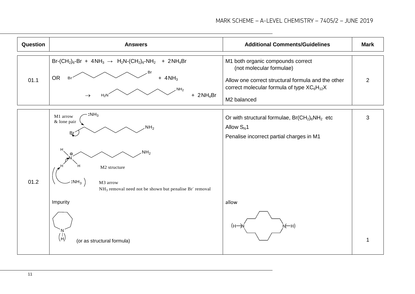| Question | <b>Answers</b>                                                                                                                                                                                   | <b>Additional Comments/Guidelines</b>                                                                                                                                                                     | <b>Mark</b> |
|----------|--------------------------------------------------------------------------------------------------------------------------------------------------------------------------------------------------|-----------------------------------------------------------------------------------------------------------------------------------------------------------------------------------------------------------|-------------|
| 01.1     | $Br-(CH_2)_6\text{-}Br + 4NH_3 \rightarrow H_2N-(CH_2)_6\text{-}NH_2$<br>$+ 2NH4Br$<br>Br<br>OR<br>$+$ 4NH <sub>3</sub><br><b>Br</b><br>NH <sub>2</sub><br>$+ 2NH4Br$<br>$H_2N$<br>$\rightarrow$ | M1 both organic compounds correct<br>(not molecular formulae)<br>Allow one correct structural formula and the other<br>correct molecular formula of type XC <sub>6</sub> H <sub>12</sub> X<br>M2 balanced | 2           |
|          | :NH <sub>3</sub><br>M1 arrow<br>& lone pair<br>NH <sub>2</sub><br><b>Br</b><br>н                                                                                                                 | Or with structural formulae, $Br(CH_2)_6NH_2$ etc<br>Allow $S_N$ 1<br>Penalise incorrect partial charges in M1                                                                                            | 3           |
| 01.2     | NH <sub>2</sub><br>M2 structure<br>$:NH_3$<br>M3 arrow<br>NH <sub>3</sub> removal need not be shown but penalise Br <sup>-</sup> removal                                                         |                                                                                                                                                                                                           |             |
|          | Impurity                                                                                                                                                                                         | allow                                                                                                                                                                                                     |             |
|          | $\binom{1}{H}$<br>(or as structural formula)                                                                                                                                                     | ̀№—н)<br>$(H \rightarrow$                                                                                                                                                                                 | 1           |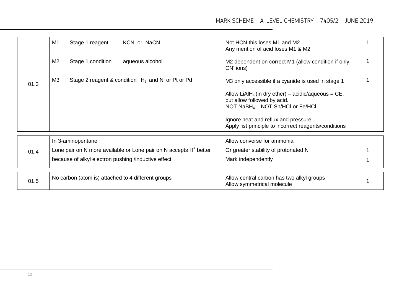|      | M1<br>Stage 1 reagent<br>KCN or NaCN                                          | Not HCN this loses M1 and M2<br>Any mention of acid loses M1 & M2                                                                              |  |
|------|-------------------------------------------------------------------------------|------------------------------------------------------------------------------------------------------------------------------------------------|--|
|      | M <sub>2</sub><br>Stage 1 condition<br>aqueous alcohol                        | M2 dependent on correct M1 (allow condition if only<br>CN <sup>-</sup> ions)                                                                   |  |
| 01.3 | M <sub>3</sub><br>Stage 2 reagent & condition $H_2$ and Ni or Pt or Pd        | M3 only accessible if a cyanide is used in stage 1                                                                                             |  |
|      |                                                                               | Allow LiAlH <sub>4</sub> (in dry ether) – acidic/aqueous = $CE$ ,<br>but allow followed by acid.<br>NOT NaBH <sub>4</sub> NOT Sn/HCl or Fe/HCl |  |
|      |                                                                               | Ignore heat and reflux and pressure<br>Apply list principle to incorrect reagents/conditions                                                   |  |
|      | In 3-aminopentane                                                             | Allow converse for ammonia                                                                                                                     |  |
| 01.4 | Lone pair on N more available or Lone pair on N accepts H <sup>+</sup> better | Or greater stability of protonated N                                                                                                           |  |
|      | because of alkyl electron pushing /inductive effect                           | Mark independently                                                                                                                             |  |
|      |                                                                               |                                                                                                                                                |  |
| 01.5 | No carbon (atom is) attached to 4 different groups                            | Allow central carbon has two alkyl groups<br>Allow symmetrical molecule                                                                        |  |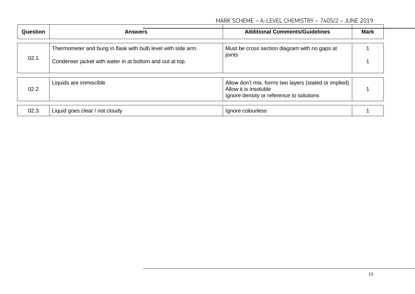| Question | <b>Answers</b>                                                                                                           | <b>Additional Comments/Guidelines</b>                                                                                      | <b>Mark</b> |
|----------|--------------------------------------------------------------------------------------------------------------------------|----------------------------------------------------------------------------------------------------------------------------|-------------|
| 02.1     | Thermometer and bung in flask with bulb level with side arm.<br>Condenser jacket with water in at bottom and out at top. | Must be cross section diagram with no gaps at<br>joints                                                                    |             |
| 02.2     | Liquids are immiscible                                                                                                   | Allow don't mix, forms two layers (stated or implied)<br>Allow it is insoluble<br>Ignore density or reference to solutions |             |
| 02.3     | Liquid goes clear / not cloudy                                                                                           | Ignore colourless                                                                                                          |             |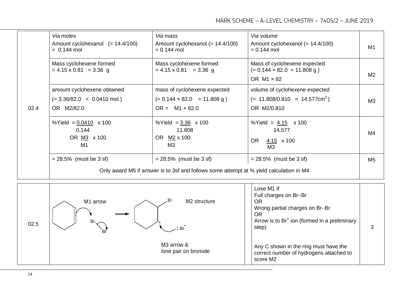|      | Via moles<br>Amount cyclohexanol $(= 14.4/100)$<br>$= 0.144$ mol                  | Via mass<br>Amount cyclohexanol $(= 14.4/100)$<br>$= 0.144$ mol                                                      | Via volume<br>Amount cyclohexanol $(= 14.4/100)$<br>$= 0.144$ mol                       | M1             |
|------|-----------------------------------------------------------------------------------|----------------------------------------------------------------------------------------------------------------------|-----------------------------------------------------------------------------------------|----------------|
|      | Mass cyclohexene formed<br>$= 4.15 \times 0.81 = 3.36$ g                          | Mass cyclohexene formed<br>$= 4.15 \times 0.81 = 3.36$ g                                                             | Mass of cyclohexene expected<br>$(= 0.144 \times 82.0 = 11.808 g)$<br>OR $M1 \times 82$ | M <sub>2</sub> |
| 02.4 | amount cyclohexene obtained<br>$(= 3.36/82.0 = 0.0410 \text{ mol})$<br>OR M2/82.0 | mass of cyclohexene expected<br>$(= 0.144 \times 82.0 = 11.808 g)$<br>$OR = M1 \times 82.0$                          | volume of cyclohexene expected<br>$(= 11.808/0.810 = 14.577cm3)$<br>OR M2/0.810         | M3             |
|      | %Yield = $0.0410 \times 100$<br>0.144<br>OR M3 x 100<br>M <sub>1</sub>            | %Yield = $3.36 \times 100$<br>11.808<br>OR M2 x 100<br>M3                                                            | %Yield = $4.15 \times 100$<br>14.577<br>OR.<br>$\frac{4.15}{ }$ x 100<br>M <sub>3</sub> | M4             |
|      | $= 28.5\%$ (must be 3 sf)                                                         | $= 28.5\%$ (must be 3 sf)<br>Only award M5 if answer is to 3sf and follows some attempt at % yield calculation in M4 | $= 28.5\%$ (must be 3 sf)                                                               | M <sub>5</sub> |
|      |                                                                                   |                                                                                                                      |                                                                                         |                |

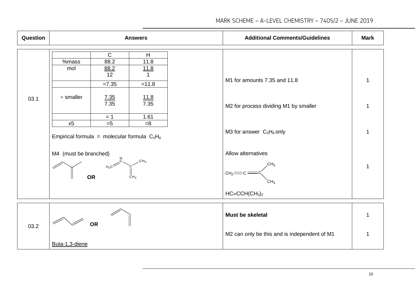| Question |                                                                                                                 |                                                                                                 | <b>Answers</b>                                                                          | <b>Additional Comments/Guidelines</b>                                                                                      | <b>Mark</b> |
|----------|-----------------------------------------------------------------------------------------------------------------|-------------------------------------------------------------------------------------------------|-----------------------------------------------------------------------------------------|----------------------------------------------------------------------------------------------------------------------------|-------------|
| 03.1     | %mass<br>mol<br>$\div$ smaller<br>x5<br>Empirical formula = molecular formula $C_5H_8$<br>M4 (must be branched) | $\overline{C}$<br>88.2<br>$\frac{88.2}{12}$<br>$=7.35$<br>$\frac{7.35}{7.35}$<br>$= 1$<br>$= 5$ | H<br>11.8<br>11.8<br>$=11.8$<br>$\frac{11.8}{7.35}$<br>1.61<br>$= 8$<br>CH <sub>3</sub> | M1 for amounts 7.35 and 11.8<br>M2 for process dividing M1 by smaller<br>M3 for answer $C_5H_8$ only<br>Allow alternatives |             |
|          | <b>OR</b>                                                                                                       | $H_2C^2$                                                                                        | CH <sub>2</sub>                                                                         | CH2<br>CH <sub>2</sub><br>CH <sub>3</sub><br>$HC = CCH(CH3)2$                                                              |             |
|          |                                                                                                                 |                                                                                                 |                                                                                         | Must be skeletal                                                                                                           | 1           |
| 03.2     |                                                                                                                 | <b>OR</b>                                                                                       |                                                                                         | M2 can only be this and is independent of M1                                                                               |             |
|          | Buta-1,3-diene                                                                                                  |                                                                                                 |                                                                                         |                                                                                                                            |             |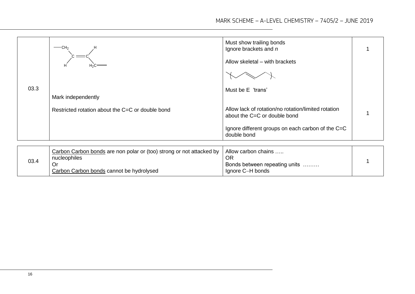|      | $-$ CH <sub>2</sub>                              | Must show trailing bonds<br>Ignore brackets and n                                   |  |
|------|--------------------------------------------------|-------------------------------------------------------------------------------------|--|
|      | H2C                                              | Allow skeletal - with brackets                                                      |  |
|      |                                                  |                                                                                     |  |
| 03.3 |                                                  | Must be E 'trans'                                                                   |  |
|      | Mark independently                               |                                                                                     |  |
|      | Restricted rotation about the C=C or double bond | Allow lack of rotation/no rotation/limited rotation<br>about the C=C or double bond |  |
|      |                                                  | Ignore different groups on each carbon of the C=C<br>double bond                    |  |
|      |                                                  |                                                                                     |  |
|      | $\mathcal{L}$ and $\mathcal{L}$                  | <b>A</b> 11                                                                         |  |

|      | Carbon Carbon bonds are non polar or (too) strong or not attacked by<br>nucleophiles | Allow carbon chains<br>ΟR                         |  |
|------|--------------------------------------------------------------------------------------|---------------------------------------------------|--|
| 03.4 | Carbon Carbon bonds cannot be hydrolysed                                             | Bonds between repeating units<br>Ignore C-H bonds |  |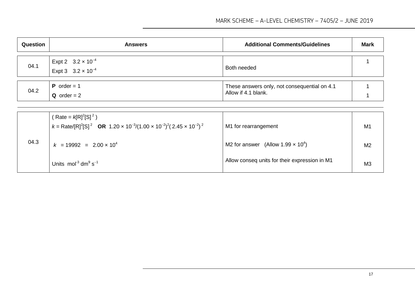| Question | <b>Answers</b>                                             | <b>Additional Comments/Guidelines</b>                               | <b>Mark</b> |
|----------|------------------------------------------------------------|---------------------------------------------------------------------|-------------|
| 04.1     | Expt 2 $3.2 \times 10^{-4}$<br>Expt 3 $3.2 \times 10^{-4}$ | Both needed                                                         |             |
| 04.2     | <b>P</b> order = $1$<br>$Q$ order = 2                      | These answers only, not consequential on 4.1<br>Allow if 4.1 blank. |             |

|      | (Rate = $k[R]^2[S]^2$ )<br>$k = \text{Rate/[R]^2[S]^2}$ OR 1.20 x 10 <sup>-3</sup> /(1.00 x 10 <sup>-2</sup> ) <sup>2</sup> (2.45 x 10 <sup>-2</sup> ) <sup>2</sup> | M1 for rearrangement                                 | M1             |
|------|---------------------------------------------------------------------------------------------------------------------------------------------------------------------|------------------------------------------------------|----------------|
| 04.3 | $k = 19992 = 2.00 \times 10^4$                                                                                                                                      | M2 for answer (Allow 1.99 $\times$ 10 <sup>4</sup> ) | M <sub>2</sub> |
|      | Units mol <sup>-3</sup> dm <sup>9</sup> s <sup>-1</sup>                                                                                                             | Allow conseq units for their expression in M1        | M <sub>3</sub> |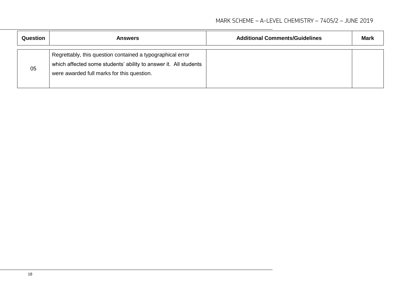| <b>Question</b> | <b>Answers</b>                                                                                                                                                               | <b>Additional Comments/Guidelines</b> | <b>Mark</b> |
|-----------------|------------------------------------------------------------------------------------------------------------------------------------------------------------------------------|---------------------------------------|-------------|
| 05              | Regrettably, this question contained a typographical error<br>which affected some students' ability to answer it. All students<br>were awarded full marks for this question. |                                       |             |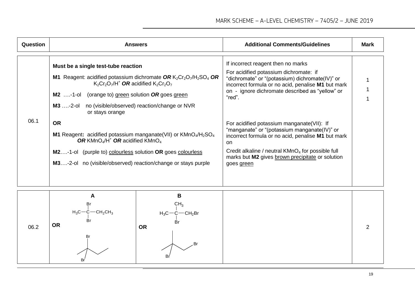| Question | <b>Answers</b>                                                                                                                                                                                                                                                                                                   | <b>Additional Comments/Guidelines</b>                                                                                                                                                                                                                                                             | Mark |
|----------|------------------------------------------------------------------------------------------------------------------------------------------------------------------------------------------------------------------------------------------------------------------------------------------------------------------|---------------------------------------------------------------------------------------------------------------------------------------------------------------------------------------------------------------------------------------------------------------------------------------------------|------|
| 06.1     | Must be a single test-tube reaction<br>M1 Reagent: acidified potassium dichromate OR $K_2Cr_2O_7/H_2SO_4$ OR<br>$K_2Cr_2O_7/H^+$ OR acidified $K_2Cr_2O_7$<br><b>M2</b> -1-ol (orange to) green solution OR goes green<br>M3  -2-ol no (visible/observed) reaction/change or NVR<br>or stays orange<br><b>OR</b> | If incorrect reagent then no marks<br>For acidified potassium dichromate: if<br>"dichromate" or "(potassium) dichromate(IV)" or<br>incorrect formula or no acid, penalise M1 but mark<br>on - ignore dichromate described as "yellow" or<br>"red".<br>For acidified potassium manganate (VII): If |      |
|          | <b>M1</b> Reagent: acidified potassium manganate(VII) or $KMnO4/H2SO4$<br>OR KMnO <sub>4</sub> /H <sup>+</sup> OR acidified KMnO <sub>4</sub><br><b>M2-1-ol</b> (purple to) colourless solution OR goes colourless<br>M3-2-ol no (visible/observed) reaction/change or stays purple                              | "manganate" or "(potassium manganate(IV)" or<br>incorrect formula or no acid, penalise M1 but mark<br>on.<br>Credit alkaline / neutral $KMnO4$ for possible full<br>marks but M2 gives brown precipitate or solution<br>goes green                                                                |      |

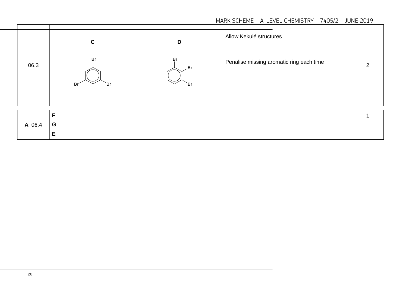| 06.3   | C<br>Br<br>Br <sup>2</sup><br>`Br | D<br>Br<br>. Br<br>`Br | Allow Kekulé structures<br>Penalise missing aromatic ring each time | ာ |
|--------|-----------------------------------|------------------------|---------------------------------------------------------------------|---|
| A 06.4 | E<br>G<br>Е                       |                        |                                                                     |   |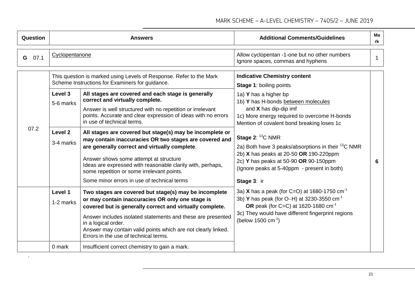| <b>Question</b> |                                                         | <b>Answers</b>                                                                                                                                                                                                                                                                                                                                                                                                                                                                                                                                                                                                                                                                                                                                           | <b>Additional Comments/Guidelines</b>                                                                                                                                                                                                                                                                                                                                                                                                                                                                        | Ma<br>rk |
|-----------------|---------------------------------------------------------|----------------------------------------------------------------------------------------------------------------------------------------------------------------------------------------------------------------------------------------------------------------------------------------------------------------------------------------------------------------------------------------------------------------------------------------------------------------------------------------------------------------------------------------------------------------------------------------------------------------------------------------------------------------------------------------------------------------------------------------------------------|--------------------------------------------------------------------------------------------------------------------------------------------------------------------------------------------------------------------------------------------------------------------------------------------------------------------------------------------------------------------------------------------------------------------------------------------------------------------------------------------------------------|----------|
| 07.1<br>G       | Cyclopentanone                                          |                                                                                                                                                                                                                                                                                                                                                                                                                                                                                                                                                                                                                                                                                                                                                          | Allow cyclopentan -1-one but no other numbers<br>Ignore spaces, commas and hyphens                                                                                                                                                                                                                                                                                                                                                                                                                           |          |
| 07.2            | Level 3<br>5-6 marks<br>Level <sub>2</sub><br>3-4 marks | This question is marked using Levels of Response. Refer to the Mark<br>Scheme Instructions for Examiners for guidance.<br>All stages are covered and each stage is generally<br>correct and virtually complete.<br>Answer is well structured with no repetition or irrelevant<br>points. Accurate and clear expression of ideas with no errors<br>in use of technical terms.<br>All stages are covered but stage(s) may be incomplete or<br>may contain inaccuracies OR two stages are covered and<br>are generally correct and virtually complete.<br>Answer shows some attempt at structure<br>Ideas are expressed with reasonable clarity with, perhaps,<br>some repetition or some irrelevant points.<br>Some minor errors in use of technical terms | <b>Indicative Chemistry content</b><br><b>Stage 1: boiling points</b><br>1a) Y has a higher bp<br>1b) Y has H-bonds between molecules<br>and $X$ has dip-dip imf<br>1c) More energy required to overcome H-bonds<br>Mention of covalent bond breaking loses 1c<br>Stage $2: {}^{13}C$ NMR<br>2a) Both have 3 peaks/absorptions in their <sup>13</sup> C NMR<br>2b) X has peaks at 20-50 OR 190-220ppm<br>2c) Y has peaks at 50-90 OR 90-150ppm<br>(Ignore peaks at 5-40ppm - present in both)<br>Stage 3: ir | 6        |
|                 | Level 1<br>1-2 marks<br>0 mark                          | Two stages are covered but stage(s) may be incomplete<br>or may contain inaccuracies OR only one stage is<br>covered but is generally correct and virtually complete.<br>Answer includes isolated statements and these are presented<br>in a logical order.<br>Answer may contain valid points which are not clearly linked.<br>Errors in the use of technical terms.<br>Insufficient correct chemistry to gain a mark.                                                                                                                                                                                                                                                                                                                                  | 3a) X has a peak (for C=O) at 1680-1750 $cm^{-1}$<br>3b) Y has peak (for O-H) at 3230-3550 $cm^{-1}$<br>OR peak (for C=C) at 1620-1680 $cm^{-1}$<br>3c) They would have different fingerprint regions<br>(below 1500 $cm^{-1}$ )                                                                                                                                                                                                                                                                             |          |

.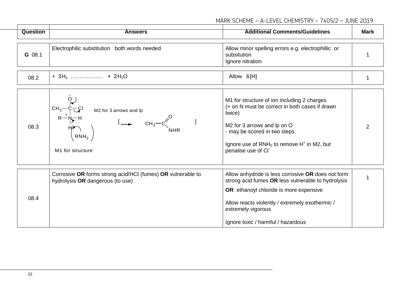| <b>Question</b> | <b>Answers</b>                                                                                  | <b>Additional Comments/Guidelines</b>                                                                                                                                                                                                                             | <b>Mark</b> |
|-----------------|-------------------------------------------------------------------------------------------------|-------------------------------------------------------------------------------------------------------------------------------------------------------------------------------------------------------------------------------------------------------------------|-------------|
| G 08.1          | Electrophilic substitution both words needed                                                    | Allow minor spelling errors e.g. electrophillic or<br>subsitution<br>Ignore nitration                                                                                                                                                                             |             |
| 08.2            |                                                                                                 | Allow 6[H]                                                                                                                                                                                                                                                        | 1           |
| 08.3            | $CH_3$<br>M2 for 3 arrows and lp<br>RNH <sub>2</sub><br>M1 for structure                        | M1 for structure of ion including 2 charges<br>(+ on N must be correct in both cases if drawn<br>twice)<br>M2 for 3 arrows and lp on O<br>- may be scored in two steps<br>Ignore use of $RNH_2$ to remove $H^+$ in M2, but<br>penalise use of Cl-                 | 2           |
| 08.4            | Corrosive OR forms strong acid/HCl (fumes) OR vulnerable to<br>hydrolysis OR dangerous (to use) | Allow anhydride is less corrosive OR does not form<br>strong acid fumes OR less vulnerable to hydrolysis<br>OR ethanoyl chloride is more expensive<br>Allow reacts violently / extremely exothermic /<br>extremely vigorous<br>Ignore toxic / harmful / hazardous | 1           |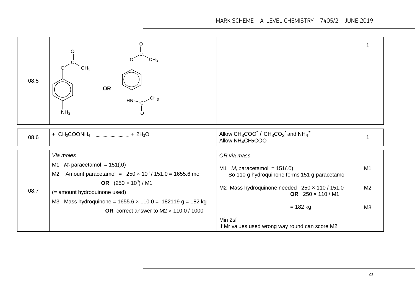| 08.5 | CH <sub>3</sub><br>CH∢<br>OR<br>$CH_{3}$<br>NH <sub>2</sub>                                                                                                                                                                                                                                                            |                                                                                                                                                                                                                                                 |                                        |
|------|------------------------------------------------------------------------------------------------------------------------------------------------------------------------------------------------------------------------------------------------------------------------------------------------------------------------|-------------------------------------------------------------------------------------------------------------------------------------------------------------------------------------------------------------------------------------------------|----------------------------------------|
| 08.6 | + $CH_3COONH_4$<br>$\frac{1}{2}$ + 2H <sub>2</sub> O                                                                                                                                                                                                                                                                   | Allow $CH_3COO^{-}$ / $CH_3CO_2^{-}$ and $NH_4^+$<br>Allow NH <sub>4</sub> CH <sub>3</sub> COO                                                                                                                                                  |                                        |
| 08.7 | Via moles<br>$M_r$ paracetamol = 151(.0)<br>M1<br>Amount paracetamol = $250 \times 10^3 / 151.0 = 1655.6$ mol<br>M <sub>2</sub><br>OR $(250 \times 10^3)$ / M1<br>(= amount hydroquinone used)<br>Mass hydroquinone = $1655.6 \times 110.0 = 182119 g = 182 kg$<br>ΜЗ<br>OR correct answer to M2 $\times$ 110.0 / 1000 | OR via mass<br>M1 $M_r$ paracetamol = 151(.0)<br>So 110 g hydroquinone forms 151 g paracetamol<br>M2 Mass hydroquinone needed 250 x 110 / 151.0<br>OR 250 x 110 / M1<br>$= 182$ kg<br>Min 2sf<br>If Mr values used wrong way round can score M2 | M <sub>1</sub><br>M <sub>2</sub><br>M3 |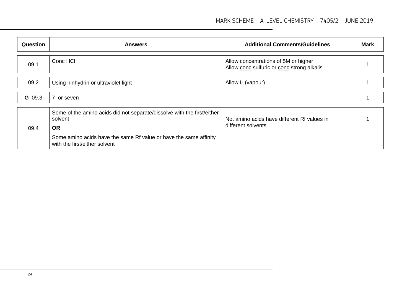| Question | <b>Answers</b>                                                                                                                                                                                        | <b>Additional Comments/Guidelines</b>                                              | Mark |
|----------|-------------------------------------------------------------------------------------------------------------------------------------------------------------------------------------------------------|------------------------------------------------------------------------------------|------|
| 09.1     | Conc HCI                                                                                                                                                                                              | Allow concentrations of 5M or higher<br>Allow conc sulfuric or conc strong alkalis |      |
| 09.2     | Using ninhydrin or ultraviolet light                                                                                                                                                                  | Allow $I_2$ (vapour)                                                               |      |
| G 09.3   | $\overline{7}$<br>or seven                                                                                                                                                                            |                                                                                    |      |
| 09.4     | Some of the amino acids did not separate/dissolve with the first/either<br>solvent<br><b>OR</b><br>Some amino acids have the same Rf value or have the same affinity<br>with the first/either solvent | Not amino acids have different Rf values in<br>different solvents                  |      |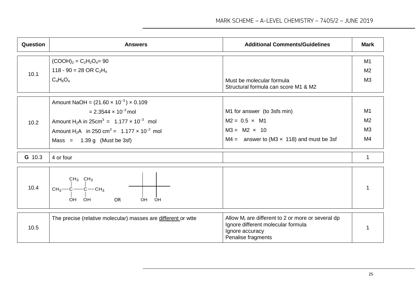| Question | <b>Answers</b>                                                                                                                                                                                                                                                                                      | <b>Additional Comments/Guidelines</b>                                                                                               | <b>Mark</b>                                              |
|----------|-----------------------------------------------------------------------------------------------------------------------------------------------------------------------------------------------------------------------------------------------------------------------------------------------------|-------------------------------------------------------------------------------------------------------------------------------------|----------------------------------------------------------|
| 10.1     | $(COOH)2 = C2H2O4 = 90$<br>118 - 90 = 28 OR $C_2H_4$<br>$C_4H_6O_4$                                                                                                                                                                                                                                 | Must be molecular formula<br>Structural formula can score M1 & M2                                                                   | M1<br>M <sub>2</sub><br>M3                               |
| 10.2     | Amount NaOH = $(21.60 \times 10^{-3}) \times 0.109$<br>$= 2.3544 \times 10^{-3}$ mol<br>Amount H <sub>2</sub> A in 25cm <sup>3</sup> = 1.177 $\times$ 10 <sup>-3</sup> mol<br>Amount H <sub>2</sub> A in 250 cm <sup>3</sup> = 1.177 $\times$ 10 <sup>-2</sup> mol<br>Mass = $1.39 g$ (Must be 3sf) | M1 for answer (to 3sfs min)<br>$M2 = 0.5 \times M1$<br>$M3 = M2 \times 10$<br>M4 = answer to (M3 $\times$ 118) and must be 3sf      | M1<br>M <sub>2</sub><br>M <sub>3</sub><br>M <sub>4</sub> |
| G 10.3   | 4 or four                                                                                                                                                                                                                                                                                           |                                                                                                                                     | $\mathbf 1$                                              |
| 10.4     | $CH_3$ CH <sub>3</sub><br>$CH_3$ - $C$ - $C$ - $CH_3$<br>OH OH<br><b>OR</b><br>OH<br>OH.                                                                                                                                                                                                            |                                                                                                                                     |                                                          |
| 10.5     | The precise (relative molecular) masses are different or wite                                                                                                                                                                                                                                       | Allow $M_r$ are different to 2 or more or several dp<br>Ignore different molecular formula<br>Ignore accuracy<br>Penalise fragments |                                                          |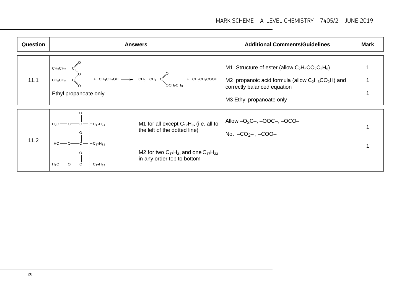| <b>Question</b> | <b>Answers</b>                                                                                                                                                                               | <b>Additional Comments/Guidelines</b>                                                                                                                                | <b>Mark</b> |
|-----------------|----------------------------------------------------------------------------------------------------------------------------------------------------------------------------------------------|----------------------------------------------------------------------------------------------------------------------------------------------------------------------|-------------|
| 11.1            | $CH_3CH_2 \rightarrow$<br>$CH_3CH_2-C$ + $CH_3CH_2OH$ + $CH_3CH_2OH$ + $CH_3CH_2CH_2OH$ + $CH_3CH_2COOH$<br>Ethyl propanoate only                                                            | M1 Structure of ester (allow $C_2H_5CO_2C_2H_5$ )<br>M2 propanoic acid formula (allow $C_2H_5CO_2H$ ) and<br>correctly balanced equation<br>M3 Ethyl propanoate only |             |
| 11.2            | M1 for all except $C_{17}H_{3x}$ (i.e. all to<br>$H_2C$<br>the left of the dotted line)<br>$-C_{17}H_{31}$<br>M2 for two $C_{17}H_{31}$ and one $C_{17}H_{33}$<br>in any order top to bottom | Allow $-O_2C_-, -OOC_-, -OCO_-$<br>Not $-CO_{2}$ , $-COO$ -                                                                                                          |             |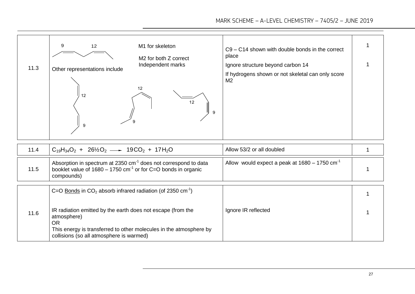| 11.3 | M1 for skeleton<br>9<br>12<br>M <sub>2</sub> for both Z correct<br>Independent marks<br>Other representations include<br>12<br>12<br>12<br>9<br>9                                                                                                                                     | C9 - C14 shown with double bonds in the correct<br>place<br>Ignore structure beyond carbon 14<br>If hydrogens shown or not skeletal can only score<br>M <sub>2</sub> |   |
|------|---------------------------------------------------------------------------------------------------------------------------------------------------------------------------------------------------------------------------------------------------------------------------------------|----------------------------------------------------------------------------------------------------------------------------------------------------------------------|---|
| 11.4 | $C_{19}H_{34}O_2 + 26\frac{1}{2}O_2 \longrightarrow 19CO_2 + 17H_2O$                                                                                                                                                                                                                  | Allow 53/2 or all doubled                                                                                                                                            | 1 |
| 11.5 | Absorption in spectrum at 2350 cm <sup>-1</sup> does not correspond to data<br>booklet value of $1680 - 1750$ cm <sup>-1</sup> or for C=O bonds in organic<br>compounds)                                                                                                              | Allow would expect a peak at $1680 - 1750$ cm <sup>-1</sup>                                                                                                          |   |
| 11.6 | C=O Bonds in $CO2$ absorb infrared radiation (of 2350 cm <sup>-1</sup> )<br>IR radiation emitted by the earth does not escape (from the<br>atmosphere)<br><b>OR</b><br>This energy is transferred to other molecules in the atmosphere by<br>collisions (so all atmosphere is warmed) | Ignore IR reflected                                                                                                                                                  |   |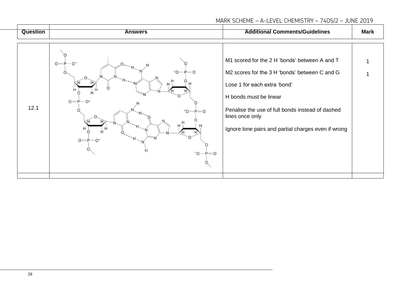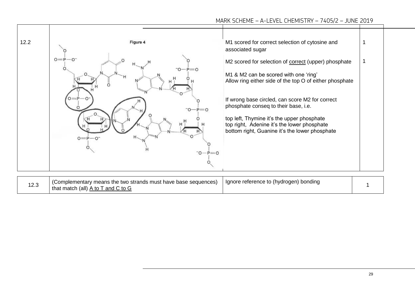